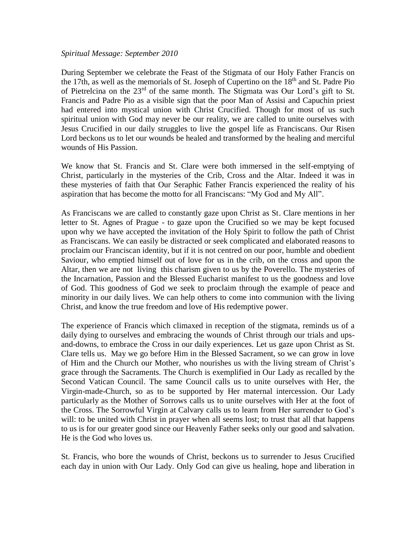## *Spiritual Message: September 2010*

During September we celebrate the Feast of the Stigmata of our Holy Father Francis on the 17th, as well as the memorials of St. Joseph of Cupertino on the  $18<sup>th</sup>$  and St. Padre Pio of Pietrelcina on the 23rd of the same month. The Stigmata was Our Lord's gift to St. Francis and Padre Pio as a visible sign that the poor Man of Assisi and Capuchin priest had entered into mystical union with Christ Crucified. Though for most of us such spiritual union with God may never be our reality, we are called to unite ourselves with Jesus Crucified in our daily struggles to live the gospel life as Franciscans. Our Risen Lord beckons us to let our wounds be healed and transformed by the healing and merciful wounds of His Passion.

We know that St. Francis and St. Clare were both immersed in the self-emptying of Christ, particularly in the mysteries of the Crib, Cross and the Altar. Indeed it was in these mysteries of faith that Our Seraphic Father Francis experienced the reality of his aspiration that has become the motto for all Franciscans: "My God and My All".

As Franciscans we are called to constantly gaze upon Christ as St. Clare mentions in her letter to St. Agnes of Prague - to gaze upon the Crucified so we may be kept focused upon why we have accepted the invitation of the Holy Spirit to follow the path of Christ as Franciscans. We can easily be distracted or seek complicated and elaborated reasons to proclaim our Franciscan identity, but if it is not centred on our poor, humble and obedient Saviour, who emptied himself out of love for us in the crib, on the cross and upon the Altar, then we are not living this charism given to us by the Poverello. The mysteries of the Incarnation, Passion and the Blessed Eucharist manifest to us the goodness and love of God. This goodness of God we seek to proclaim through the example of peace and minority in our daily lives. We can help others to come into communion with the living Christ, and know the true freedom and love of His redemptive power.

The experience of Francis which climaxed in reception of the stigmata, reminds us of a daily dying to ourselves and embracing the wounds of Christ through our trials and upsand-downs, to embrace the Cross in our daily experiences. Let us gaze upon Christ as St. Clare tells us. May we go before Him in the Blessed Sacrament, so we can grow in love of Him and the Church our Mother, who nourishes us with the living stream of Christ's grace through the Sacraments. The Church is exemplified in Our Lady as recalled by the Second Vatican Council. The same Council calls us to unite ourselves with Her, the Virgin-made-Church, so as to be supported by Her maternal intercession. Our Lady particularly as the Mother of Sorrows calls us to unite ourselves with Her at the foot of the Cross. The Sorrowful Virgin at Calvary calls us to learn from Her surrender to God's will: to be united with Christ in prayer when all seems lost; to trust that all that happens to us is for our greater good since our Heavenly Father seeks only our good and salvation. He is the God who loves us.

St. Francis, who bore the wounds of Christ, beckons us to surrender to Jesus Crucified each day in union with Our Lady. Only God can give us healing, hope and liberation in